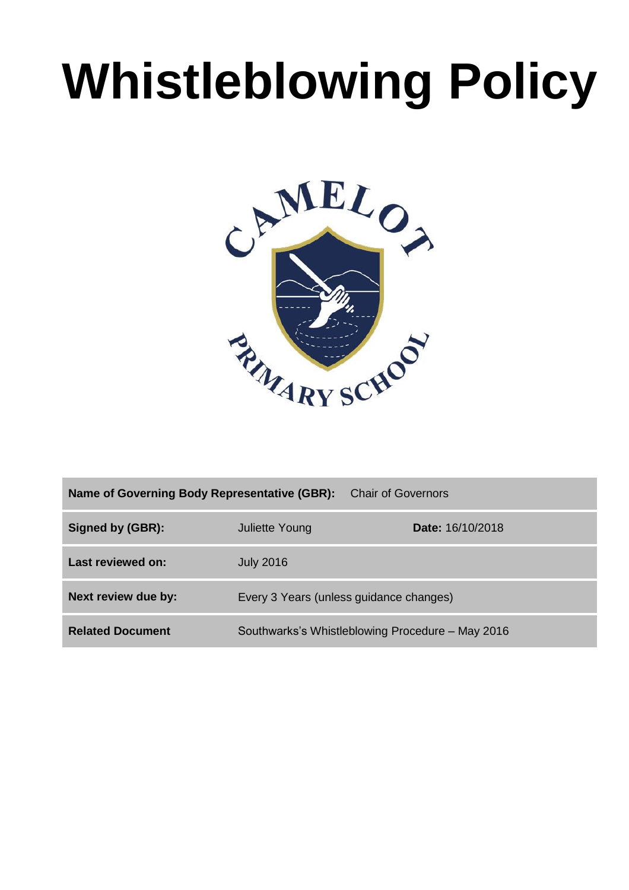# **Whistleblowing Policy**



| <b>Chair of Governors</b><br>Name of Governing Body Representative (GBR): |                                                  |                  |  |  |
|---------------------------------------------------------------------------|--------------------------------------------------|------------------|--|--|
| Signed by (GBR):                                                          | <b>Juliette Young</b>                            | Date: 16/10/2018 |  |  |
| Last reviewed on:                                                         | <b>July 2016</b>                                 |                  |  |  |
| Next review due by:                                                       | Every 3 Years (unless guidance changes)          |                  |  |  |
| <b>Related Document</b>                                                   | Southwarks's Whistleblowing Procedure - May 2016 |                  |  |  |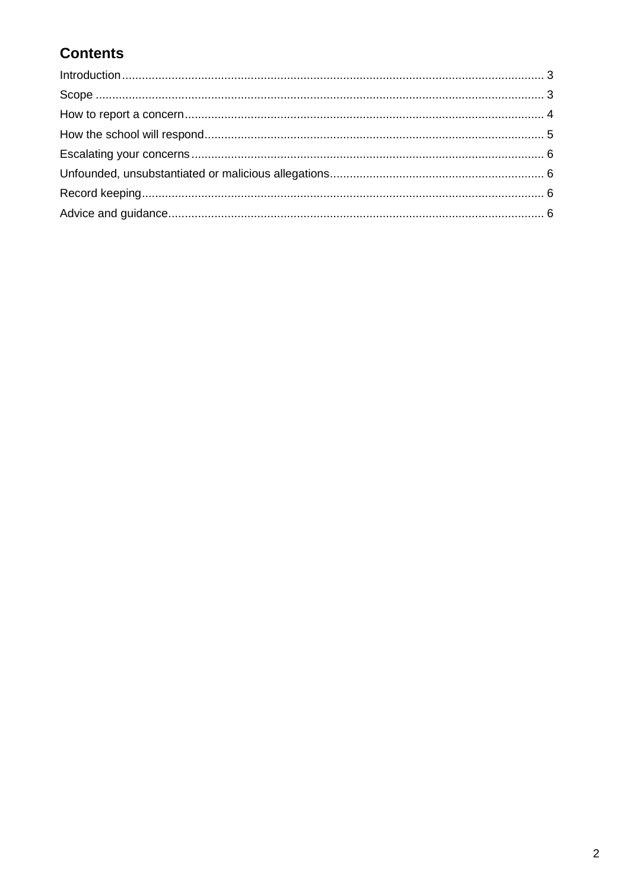# **Contents**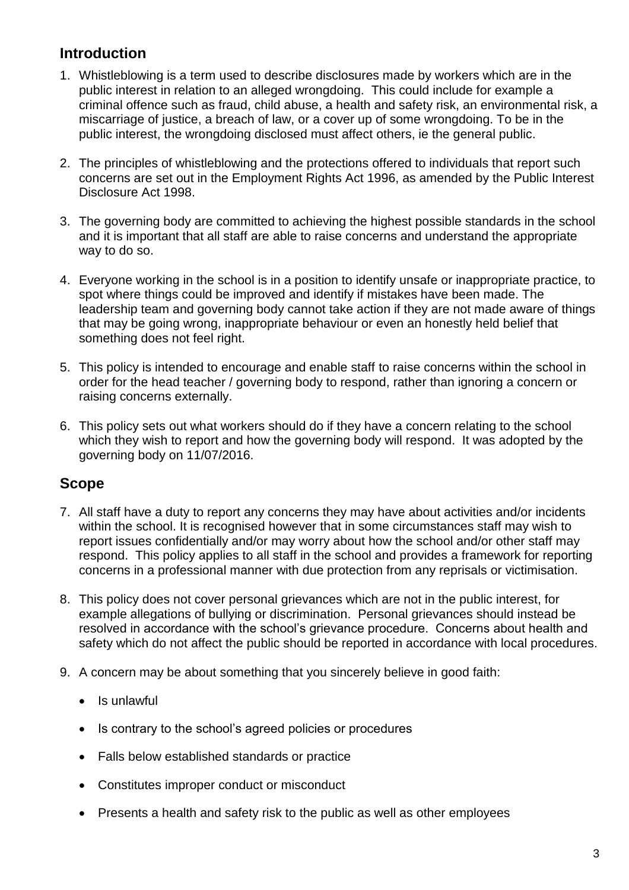# **Introduction**

- 1. Whistleblowing is a term used to describe disclosures made by workers which are in the public interest in relation to an alleged wrongdoing. This could include for example a criminal offence such as fraud, child abuse, a health and safety risk, an environmental risk, a miscarriage of justice, a breach of law, or a cover up of some wrongdoing. To be in the public interest, the wrongdoing disclosed must affect others, ie the general public.
- 2. The principles of whistleblowing and the protections offered to individuals that report such concerns are set out in the Employment Rights Act 1996, as amended by the Public Interest Disclosure Act 1998.
- 3. The governing body are committed to achieving the highest possible standards in the school and it is important that all staff are able to raise concerns and understand the appropriate way to do so.
- 4. Everyone working in the school is in a position to identify unsafe or inappropriate practice, to spot where things could be improved and identify if mistakes have been made. The leadership team and governing body cannot take action if they are not made aware of things that may be going wrong, inappropriate behaviour or even an honestly held belief that something does not feel right.
- 5. This policy is intended to encourage and enable staff to raise concerns within the school in order for the head teacher / governing body to respond, rather than ignoring a concern or raising concerns externally.
- 6. This policy sets out what workers should do if they have a concern relating to the school which they wish to report and how the governing body will respond. It was adopted by the governing body on 11/07/2016.

#### **Scope**

- 7. All staff have a duty to report any concerns they may have about activities and/or incidents within the school. It is recognised however that in some circumstances staff may wish to report issues confidentially and/or may worry about how the school and/or other staff may respond. This policy applies to all staff in the school and provides a framework for reporting concerns in a professional manner with due protection from any reprisals or victimisation.
- 8. This policy does not cover personal grievances which are not in the public interest, for example allegations of bullying or discrimination. Personal grievances should instead be resolved in accordance with the school's grievance procedure. Concerns about health and safety which do not affect the public should be reported in accordance with local procedures.
- 9. A concern may be about something that you sincerely believe in good faith:
	- Is unlawful
	- Is contrary to the school's agreed policies or procedures
	- Falls below established standards or practice
	- Constitutes improper conduct or misconduct
	- Presents a health and safety risk to the public as well as other employees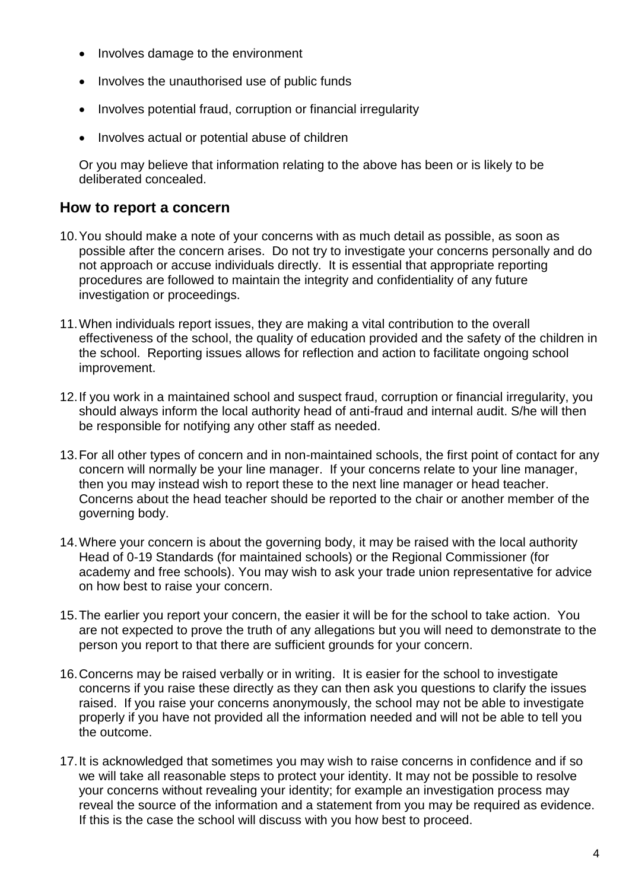- Involves damage to the environment
- Involves the unauthorised use of public funds
- Involves potential fraud, corruption or financial irregularity
- Involves actual or potential abuse of children

Or you may believe that information relating to the above has been or is likely to be deliberated concealed.

#### **How to report a concern**

- 10.You should make a note of your concerns with as much detail as possible, as soon as possible after the concern arises. Do not try to investigate your concerns personally and do not approach or accuse individuals directly. It is essential that appropriate reporting procedures are followed to maintain the integrity and confidentiality of any future investigation or proceedings.
- 11.When individuals report issues, they are making a vital contribution to the overall effectiveness of the school, the quality of education provided and the safety of the children in the school. Reporting issues allows for reflection and action to facilitate ongoing school improvement.
- 12.If you work in a maintained school and suspect fraud, corruption or financial irregularity, you should always inform the local authority head of anti-fraud and internal audit. S/he will then be responsible for notifying any other staff as needed.
- 13.For all other types of concern and in non-maintained schools, the first point of contact for any concern will normally be your line manager. If your concerns relate to your line manager, then you may instead wish to report these to the next line manager or head teacher. Concerns about the head teacher should be reported to the chair or another member of the governing body.
- 14.Where your concern is about the governing body, it may be raised with the local authority Head of 0-19 Standards (for maintained schools) or the Regional Commissioner (for academy and free schools). You may wish to ask your trade union representative for advice on how best to raise your concern.
- 15.The earlier you report your concern, the easier it will be for the school to take action. You are not expected to prove the truth of any allegations but you will need to demonstrate to the person you report to that there are sufficient grounds for your concern.
- 16.Concerns may be raised verbally or in writing. It is easier for the school to investigate concerns if you raise these directly as they can then ask you questions to clarify the issues raised. If you raise your concerns anonymously, the school may not be able to investigate properly if you have not provided all the information needed and will not be able to tell you the outcome.
- 17.It is acknowledged that sometimes you may wish to raise concerns in confidence and if so we will take all reasonable steps to protect your identity. It may not be possible to resolve your concerns without revealing your identity; for example an investigation process may reveal the source of the information and a statement from you may be required as evidence. If this is the case the school will discuss with you how best to proceed.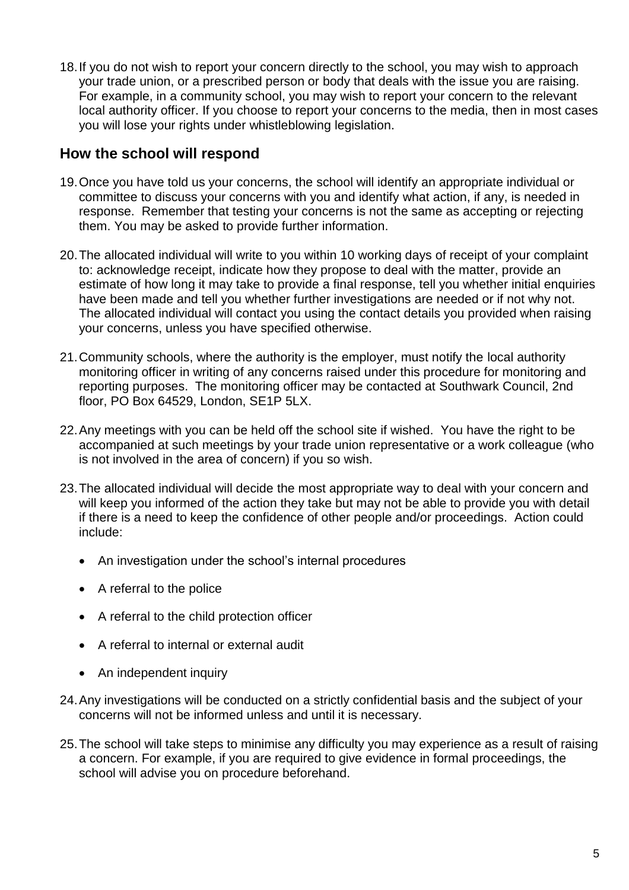18.If you do not wish to report your concern directly to the school, you may wish to approach your trade union, or a prescribed person or body that deals with the issue you are raising. For example, in a community school, you may wish to report your concern to the relevant local authority officer. If you choose to report your concerns to the media, then in most cases you will lose your rights under whistleblowing legislation.

#### **How the school will respond**

- 19.Once you have told us your concerns, the school will identify an appropriate individual or committee to discuss your concerns with you and identify what action, if any, is needed in response. Remember that testing your concerns is not the same as accepting or rejecting them. You may be asked to provide further information.
- 20.The allocated individual will write to you within 10 working days of receipt of your complaint to: acknowledge receipt, indicate how they propose to deal with the matter, provide an estimate of how long it may take to provide a final response, tell you whether initial enquiries have been made and tell you whether further investigations are needed or if not why not. The allocated individual will contact you using the contact details you provided when raising your concerns, unless you have specified otherwise.
- 21.Community schools, where the authority is the employer, must notify the local authority monitoring officer in writing of any concerns raised under this procedure for monitoring and reporting purposes. The monitoring officer may be contacted at Southwark Council, 2nd floor, PO Box 64529, London, SE1P 5LX.
- 22.Any meetings with you can be held off the school site if wished. You have the right to be accompanied at such meetings by your trade union representative or a work colleague (who is not involved in the area of concern) if you so wish.
- 23.The allocated individual will decide the most appropriate way to deal with your concern and will keep you informed of the action they take but may not be able to provide you with detail if there is a need to keep the confidence of other people and/or proceedings. Action could include:
	- An investigation under the school's internal procedures
	- A referral to the police
	- A referral to the child protection officer
	- A referral to internal or external audit
	- An independent inquiry
- 24.Any investigations will be conducted on a strictly confidential basis and the subject of your concerns will not be informed unless and until it is necessary.
- 25.The school will take steps to minimise any difficulty you may experience as a result of raising a concern. For example, if you are required to give evidence in formal proceedings, the school will advise you on procedure beforehand.